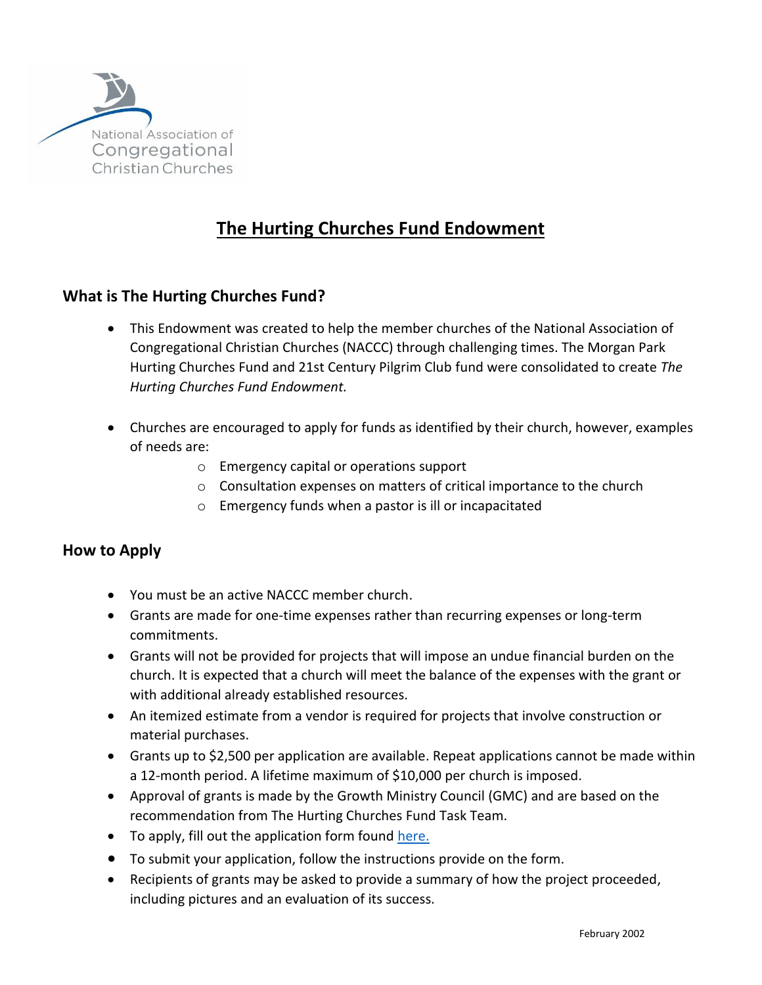

## **The Hurting Churches Fund Endowment**

## **What is The Hurting Churches Fund?**

- This Endowment was created to help the member churches of the National Association of Congregational Christian Churches (NACCC) through challenging times. The Morgan Park Hurting Churches Fund and 21st Century Pilgrim Club fund were consolidated to create *The Hurting Churches Fund Endowment.*
- Churches are encouraged to apply for funds as identified by their church, however, examples of needs are:
	- o Emergency capital or operations support
	- o Consultation expenses on matters of critical importance to the church
	- o Emergency funds when a pastor is ill or incapacitated

## **How to Apply**

- You must be an active NACCC member church.
- Grants are made for one-time expenses rather than recurring expenses or long-term commitments.
- Grants will not be provided for projects that will impose an undue financial burden on the church. It is expected that a church will meet the balance of the expenses with the grant or with additional already established resources.
- An itemized estimate from a vendor is required for projects that involve construction or material purchases.
- Grants up to \$2,500 per application are available. Repeat applications cannot be made within a 12-month period. A lifetime maximum of \$10,000 per church is imposed.
- Approval of grants is made by the Growth Ministry Council (GMC) and are based on the recommendation from The Hurting Churches Fund Task Team.
- To apply, fill out the application form found [here.](https://www.naccc.org/wp-content/uploads/2021/03/Hurting-Churches-Appl-Form-Sept-2020.pdf)
- To submit your application, follow the instructions provide on the form.
- Recipients of grants may be asked to provide a summary of how the project proceeded, including pictures and an evaluation of its success.